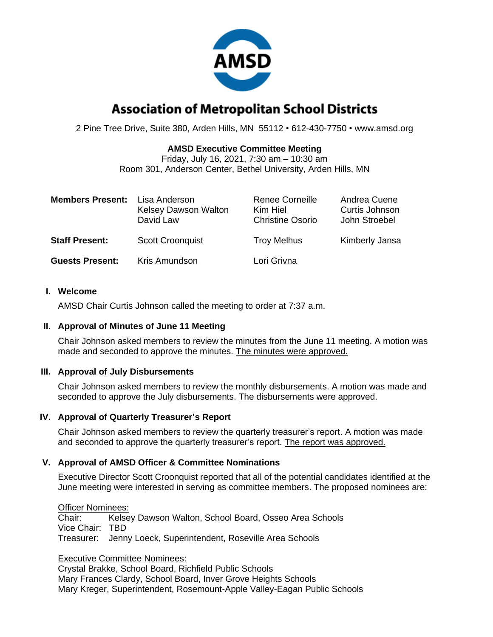

# **Association of Metropolitan School Districts**

2 Pine Tree Drive, Suite 380, Arden Hills, MN 55112 • 612-430-7750 • www.amsd.org

## **AMSD Executive Committee Meeting**

Friday, July 16, 2021, 7:30 am – 10:30 am Room 301, Anderson Center, Bethel University, Arden Hills, MN

| <b>Members Present:</b> | Lisa Anderson<br><b>Kelsey Dawson Walton</b><br>David Law | <b>Renee Corneille</b><br>Kim Hiel<br><b>Christine Osorio</b> | Andrea Cuene<br>Curtis Johnson<br>John Stroebel |
|-------------------------|-----------------------------------------------------------|---------------------------------------------------------------|-------------------------------------------------|
| <b>Staff Present:</b>   | <b>Scott Croonquist</b>                                   | <b>Troy Melhus</b>                                            | Kimberly Jansa                                  |
| <b>Guests Present:</b>  | Kris Amundson                                             | Lori Grivna                                                   |                                                 |

### **I. Welcome**

AMSD Chair Curtis Johnson called the meeting to order at 7:37 a.m.

### **II. Approval of Minutes of June 11 Meeting**

Chair Johnson asked members to review the minutes from the June 11 meeting. A motion was made and seconded to approve the minutes. The minutes were approved.

### **III. Approval of July Disbursements**

Chair Johnson asked members to review the monthly disbursements. A motion was made and seconded to approve the July disbursements. The disbursements were approved.

### **IV. Approval of Quarterly Treasurer's Report**

Chair Johnson asked members to review the quarterly treasurer's report. A motion was made and seconded to approve the quarterly treasurer's report. The report was approved.

### **V. Approval of AMSD Officer & Committee Nominations**

Executive Director Scott Croonquist reported that all of the potential candidates identified at the June meeting were interested in serving as committee members. The proposed nominees are:

**Officer Nominees:** 

Chair: Kelsey Dawson Walton, School Board, Osseo Area Schools Vice Chair: TBD Treasurer: Jenny Loeck, Superintendent, Roseville Area Schools

### Executive Committee Nominees:

Crystal Brakke, School Board, Richfield Public Schools Mary Frances Clardy, School Board, Inver Grove Heights Schools Mary Kreger, Superintendent, Rosemount-Apple Valley-Eagan Public Schools